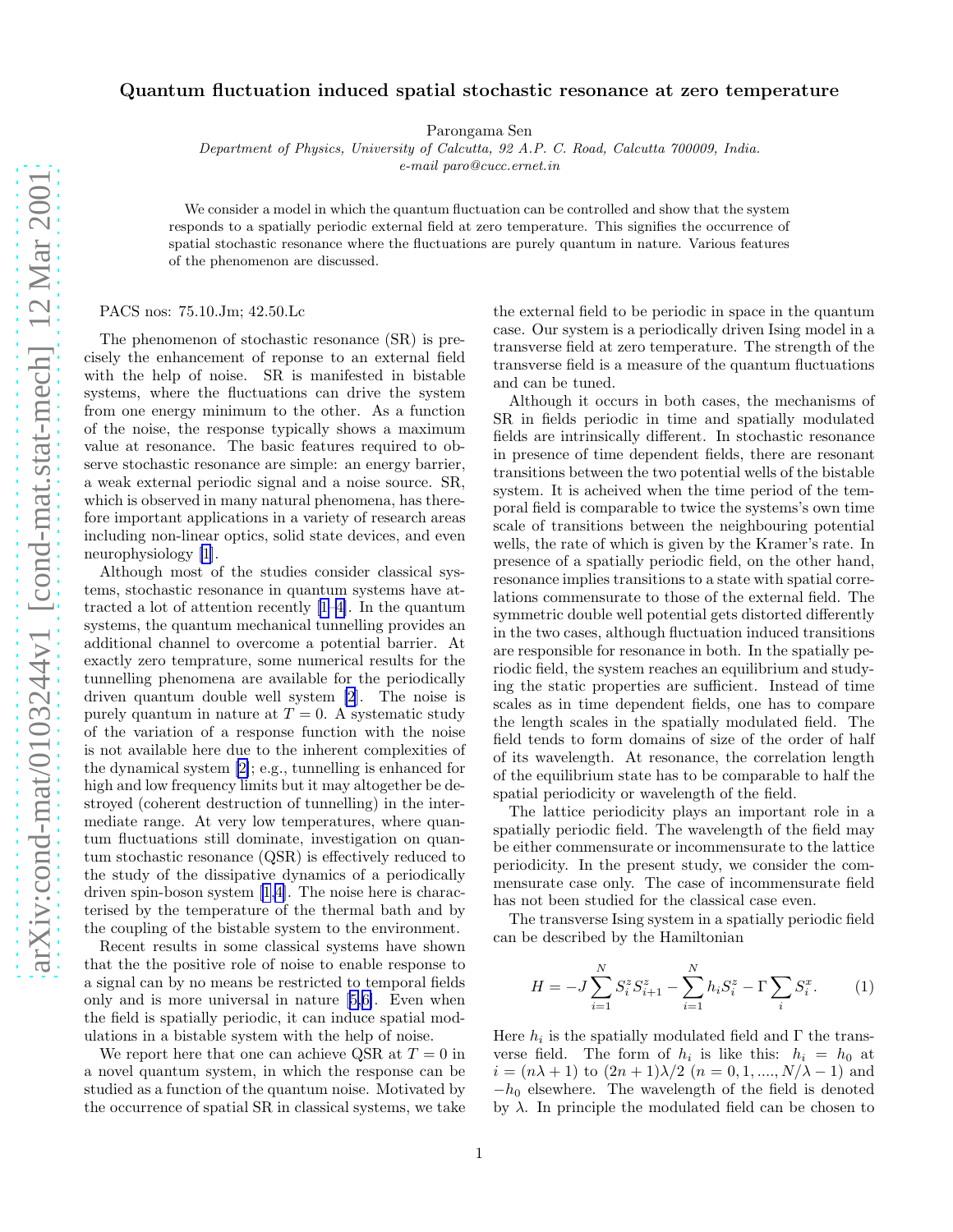## Quantum fluctuation induced spatial stochastic resonance at zero temperature

Parongama Sen

Department of Physics, University of Calcutta, 92 A.P. C. Road, Calcutta 700009, India.

e-mail paro@cucc.ernet.in

We consider a model in which the quantum fluctuation can be controlled and show that the system responds to a spatially periodic external field at zero temperature. This signifies the occurrence of spatial stochastic resonance where the fluctuations are purely quantum in nature. Various features of the phenomenon are discussed.

PACS nos: 75.10.Jm; 42.50.Lc

The phenomenon of stochastic resonance (SR) is precisely the enhancement of reponse to an external field with the help of noise. SR is manifested in bistable systems, where the fluctuations can drive the system from one energy minimum to the other. As a function of the noise, the response typically shows a maximum value at resonance. The basic features required to observe stochastic resonance are simple: an energy barrier, a weak external periodic signal and a noise source. SR, which is observed in many natural phenomena, has therefore important applications in a variety of research areas including non-linear optics, solid state devices, and even neurophysiology [\[1](#page-2-0)].

Although most of the studies consider classical systems, stochastic resonance in quantum systems have attracted a lot of attention recently[[1–4\]](#page-2-0). In the quantum systems, the quantum mechanical tunnelling provides an additional channel to overcome a potential barrier. At exactly zero temprature, some numerical results for the tunnelling phenomena are available for the periodically driven quantum double well system [\[2](#page-2-0)]. The noise is purely quantum in nature at  $T = 0$ . A systematic study of the variation of a response function with the noise is not available here due to the inherent complexities of the dynamical system [\[2\]](#page-2-0); e.g., tunnelling is enhanced for high and low frequency limits but it may altogether be destroyed (coherent destruction of tunnelling) in the intermediate range. At very low temperatures, where quantum fluctuations still dominate, investigation on quantum stochastic resonance (QSR) is effectively reduced to the study of the dissipative dynamics of a periodically driven spin-boson system [\[1](#page-2-0),[4\]](#page-2-0). The noise here is characterised by the temperature of the thermal bath and by the coupling of the bistable system to the environment.

Recent results in some classical systems have shown that the the positive role of noise to enable response to a signal can by no means be restricted to temporal fields only and is more universal in nature[[5,6\]](#page-2-0). Even when the field is spatially periodic, it can induce spatial modulations in a bistable system with the help of noise.

We report here that one can achieve QSR at  $T = 0$  in a novel quantum system, in which the response can be studied as a function of the quantum noise. Motivated by the occurrence of spatial SR in classical systems, we take

the external field to be periodic in space in the quantum case. Our system is a periodically driven Ising model in a transverse field at zero temperature. The strength of the transverse field is a measure of the quantum fluctuations and can be tuned.

Although it occurs in both cases, the mechanisms of SR in fields periodic in time and spatially modulated fields are intrinsically different. In stochastic resonance in presence of time dependent fields, there are resonant transitions between the two potential wells of the bistable system. It is acheived when the time period of the temporal field is comparable to twice the systems's own time scale of transitions between the neighbouring potential wells, the rate of which is given by the Kramer's rate. In presence of a spatially periodic field, on the other hand, resonance implies transitions to a state with spatial correlations commensurate to those of the external field. The symmetric double well potential gets distorted differently in the two cases, although fluctuation induced transitions are responsible for resonance in both. In the spatially periodic field, the system reaches an equilibrium and studying the static properties are sufficient. Instead of time scales as in time dependent fields, one has to compare the length scales in the spatially modulated field. The field tends to form domains of size of the order of half of its wavelength. At resonance, the correlation length of the equilibrium state has to be comparable to half the spatial periodicity or wavelength of the field.

The lattice periodicity plays an important role in a spatially periodic field. The wavelength of the field may be either commensurate or incommensurate to the lattice periodicity. In the present study, we consider the commensurate case only. The case of incommensurate field has not been studied for the classical case even.

The transverse Ising system in a spatially periodic field can be described by the Hamiltonian

$$
H = -J\sum_{i=1}^{N} S_i^z S_{i+1}^z - \sum_{i=1}^{N} h_i S_i^z - \Gamma \sum_i S_i^x.
$$
 (1)

Here  $h_i$  is the spatially modulated field and  $\Gamma$  the transverse field. The form of  $h_i$  is like this:  $h_i = h_0$  at  $i = (n\lambda + 1)$  to  $(2n + 1)\lambda/2$   $(n = 0, 1, ..., N/\lambda - 1)$  and  $-h_0$  elsewhere. The wavelength of the field is denoted by  $\lambda$ . In principle the modulated field can be chosen to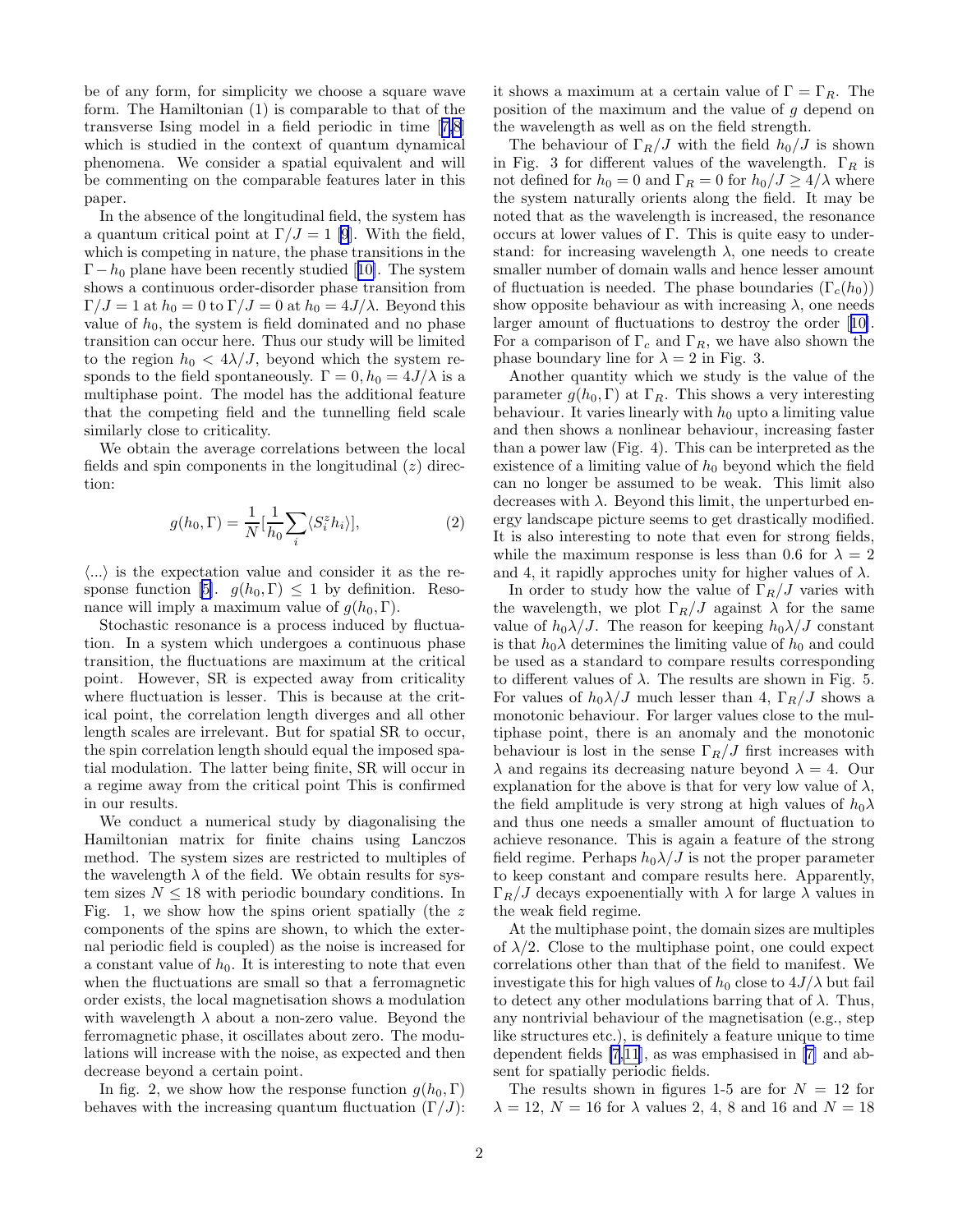be of any form, for simplicity we choose a square wave form. The Hamiltonian (1) is comparable to that of the transverse Ising model in a field periodic in time[[7,8](#page-2-0)] which is studied in the context of quantum dynamical phenomena. We consider a spatial equivalent and will be commenting on the comparable features later in this paper.

In the absence of the longitudinal field, the system has a quantum critical point at  $\Gamma/J = 1$  [\[9](#page-2-0)]. With the field, which is competing in nature, the phase transitions in the  $\Gamma-h_0$ plane have been recently studied [[10\]](#page-2-0). The system shows a continuous order-disorder phase transition from  $\Gamma/J = 1$  at  $h_0 = 0$  to  $\Gamma/J = 0$  at  $h_0 = 4J/\lambda$ . Beyond this value of  $h_0$ , the system is field dominated and no phase transition can occur here. Thus our study will be limited to the region  $h_0 < 4\lambda/J$ , beyond which the system responds to the field spontaneously.  $\Gamma = 0, h_0 = 4J/\lambda$  is a multiphase point. The model has the additional feature that the competing field and the tunnelling field scale similarly close to criticality.

We obtain the average correlations between the local fields and spin components in the longitudinal  $(z)$  direction:

$$
g(h_0, \Gamma) = \frac{1}{N} \left[\frac{1}{h_0} \sum_i \langle S_i^z h_i \rangle\right],\tag{2}
$$

 $\langle \ldots \rangle$  is the expectation value and consider it as the re-sponsefunction [[5\]](#page-2-0).  $g(h_0, \Gamma) \leq 1$  by definition. Resonance will imply a maximum value of  $g(h_0, \Gamma)$ .

Stochastic resonance is a process induced by fluctuation. In a system which undergoes a continuous phase transition, the fluctuations are maximum at the critical point. However, SR is expected away from criticality where fluctuation is lesser. This is because at the critical point, the correlation length diverges and all other length scales are irrelevant. But for spatial SR to occur, the spin correlation length should equal the imposed spatial modulation. The latter being finite, SR will occur in a regime away from the critical point This is confirmed in our results.

We conduct a numerical study by diagonalising the Hamiltonian matrix for finite chains using Lanczos method. The system sizes are restricted to multiples of the wavelength  $\lambda$  of the field. We obtain results for system sizes  $N < 18$  with periodic boundary conditions. In Fig. 1, we show how the spins orient spatially (the  $z$ components of the spins are shown, to which the external periodic field is coupled) as the noise is increased for a constant value of  $h_0$ . It is interesting to note that even when the fluctuations are small so that a ferromagnetic order exists, the local magnetisation shows a modulation with wavelength  $\lambda$  about a non-zero value. Beyond the ferromagnetic phase, it oscillates about zero. The modulations will increase with the noise, as expected and then decrease beyond a certain point.

In fig. 2, we show how the response function  $q(h_0, \Gamma)$ behaves with the increasing quantum fluctuation  $(\Gamma/J)$ : it shows a maximum at a certain value of  $\Gamma = \Gamma_R$ . The position of the maximum and the value of g depend on the wavelength as well as on the field strength.

The behaviour of  $\Gamma_R/J$  with the field  $h_0/J$  is shown in Fig. 3 for different values of the wavelength.  $\Gamma_R$  is not defined for  $h_0 = 0$  and  $\Gamma_R = 0$  for  $h_0 / J \geq 4/\lambda$  where the system naturally orients along the field. It may be noted that as the wavelength is increased, the resonance occurs at lower values of Γ. This is quite easy to understand: for increasing wavelength  $\lambda$ , one needs to create smaller number of domain walls and hence lesser amount of fluctuation is needed. The phase boundaries  $(\Gamma_c(h_0))$ show opposite behaviour as with increasing  $\lambda$ , one needs larger amount of fluctuations to destroy the order[[10\]](#page-2-0). For a comparison of  $\Gamma_c$  and  $\Gamma_R$ , we have also shown the phase boundary line for  $\lambda = 2$  in Fig. 3.

Another quantity which we study is the value of the parameter  $g(h_0, \Gamma)$  at  $\Gamma_R$ . This shows a very interesting behaviour. It varies linearly with  $h_0$  upto a limiting value and then shows a nonlinear behaviour, increasing faster than a power law (Fig. 4). This can be interpreted as the existence of a limiting value of  $h_0$  beyond which the field can no longer be assumed to be weak. This limit also decreases with  $\lambda$ . Beyond this limit, the unperturbed energy landscape picture seems to get drastically modified. It is also interesting to note that even for strong fields, while the maximum response is less than 0.6 for  $\lambda = 2$ and 4, it rapidly approches unity for higher values of  $\lambda$ .

In order to study how the value of  $\Gamma_R/J$  varies with the wavelength, we plot  $\Gamma_R/J$  against  $\lambda$  for the same value of  $h_0\lambda/J$ . The reason for keeping  $h_0\lambda/J$  constant is that  $h_0\lambda$  determines the limiting value of  $h_0$  and could be used as a standard to compare results corresponding to different values of  $\lambda$ . The results are shown in Fig. 5. For values of  $h_0\lambda/J$  much lesser than 4,  $\Gamma_R/J$  shows a monotonic behaviour. For larger values close to the multiphase point, there is an anomaly and the monotonic behaviour is lost in the sense  $\Gamma_R/J$  first increases with  $\lambda$  and regains its decreasing nature beyond  $\lambda = 4$ . Our explanation for the above is that for very low value of  $\lambda$ , the field amplitude is very strong at high values of  $h_0\lambda$ and thus one needs a smaller amount of fluctuation to achieve resonance. This is again a feature of the strong field regime. Perhaps  $h_0\lambda/J$  is not the proper parameter to keep constant and compare results here. Apparently,  $\Gamma_R/J$  decays expoenentially with  $\lambda$  for large  $\lambda$  values in the weak field regime.

At the multiphase point, the domain sizes are multiples of  $\lambda/2$ . Close to the multiphase point, one could expect correlations other than that of the field to manifest. We investigate this for high values of  $h_0$  close to  $4J/\lambda$  but fail to detect any other modulations barring that of  $\lambda$ . Thus, any nontrivial behaviour of the magnetisation (e.g., step like structures etc.), is definitely a feature unique to time dependent fields [\[7,11](#page-2-0)], as was emphasised in[[7\]](#page-2-0) and absent for spatially periodic fields.

The results shown in figures 1-5 are for  $N = 12$  for  $\lambda = 12$ ,  $N = 16$  for  $\lambda$  values 2, 4, 8 and 16 and  $N = 18$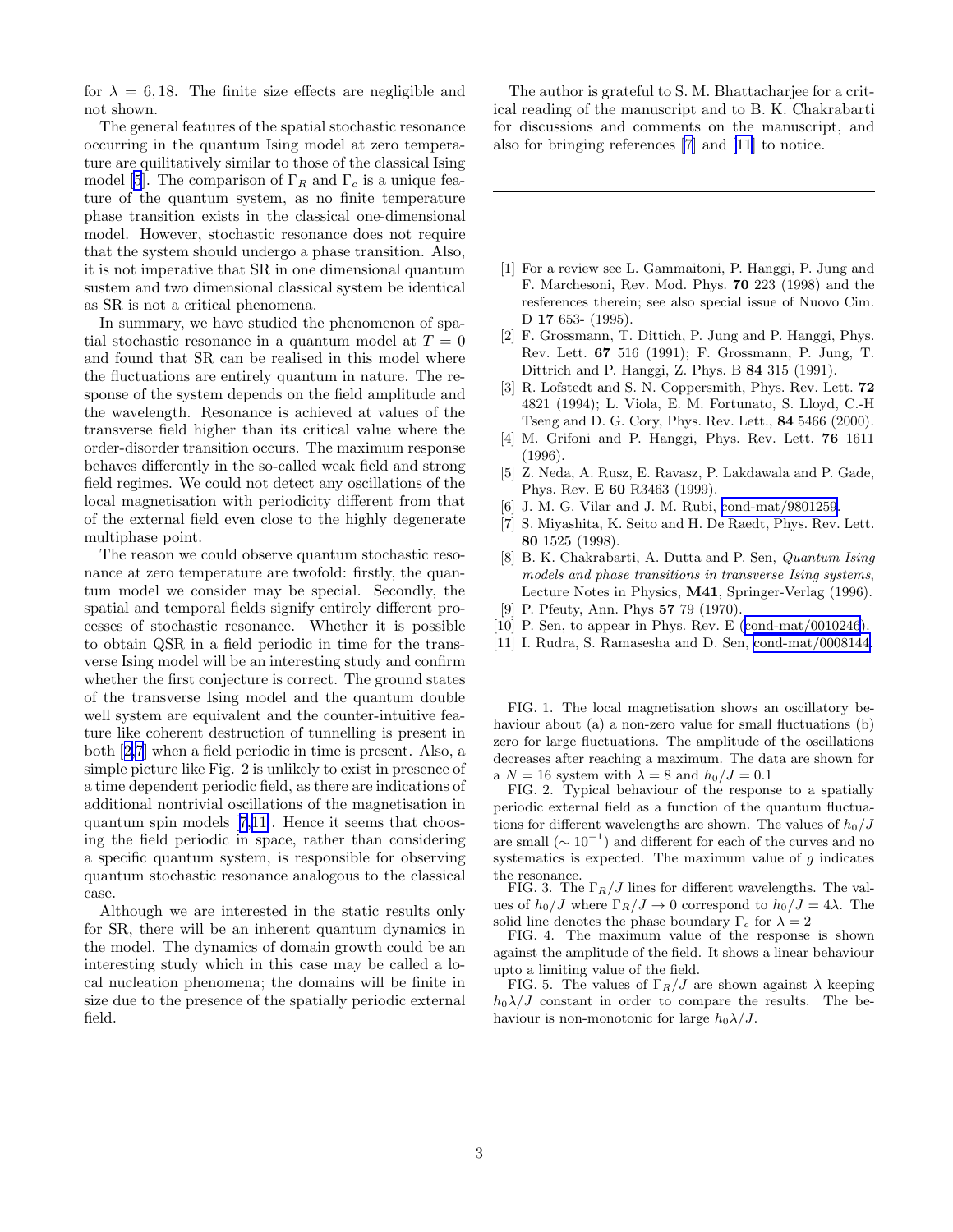<span id="page-2-0"></span>for  $\lambda = 6, 18$ . The finite size effects are negligible and not shown.

The general features of the spatial stochastic resonance occurring in the quantum Ising model at zero temperature are quilitatively similar to those of the classical Ising model [5]. The comparison of  $\Gamma_R$  and  $\Gamma_c$  is a unique feature of the quantum system, as no finite temperature phase transition exists in the classical one-dimensional model. However, stochastic resonance does not require that the system should undergo a phase transition. Also, it is not imperative that SR in one dimensional quantum sustem and two dimensional classical system be identical as SR is not a critical phenomena.

In summary, we have studied the phenomenon of spatial stochastic resonance in a quantum model at  $T = 0$ and found that SR can be realised in this model where the fluctuations are entirely quantum in nature. The response of the system depends on the field amplitude and the wavelength. Resonance is achieved at values of the transverse field higher than its critical value where the order-disorder transition occurs. The maximum response behaves differently in the so-called weak field and strong field regimes. We could not detect any oscillations of the local magnetisation with periodicity different from that of the external field even close to the highly degenerate multiphase point.

The reason we could observe quantum stochastic resonance at zero temperature are twofold: firstly, the quantum model we consider may be special. Secondly, the spatial and temporal fields signify entirely different processes of stochastic resonance. Whether it is possible to obtain QSR in a field periodic in time for the transverse Ising model will be an interesting study and confirm whether the first conjecture is correct. The ground states of the transverse Ising model and the quantum double well system are equivalent and the counter-intuitive feature like coherent destruction of tunnelling is present in both [2,7] when a field periodic in time is present. Also, a simple picture like Fig. 2 is unlikely to exist in presence of a time dependent periodic field, as there are indications of additional nontrivial oscillations of the magnetisation in quantum spin models [7,11]. Hence it seems that choosing the field periodic in space, rather than considering a specific quantum system, is responsible for observing quantum stochastic resonance analogous to the classical case.

Although we are interested in the static results only for SR, there will be an inherent quantum dynamics in the model. The dynamics of domain growth could be an interesting study which in this case may be called a local nucleation phenomena; the domains will be finite in size due to the presence of the spatially periodic external field.

The author is grateful to S. M. Bhattacharjee for a critical reading of the manuscript and to B. K. Chakrabarti for discussions and comments on the manuscript, and also for bringing references [7] and [11] to notice.

- [1] For a review see L. Gammaitoni, P. Hanggi, P. Jung and F. Marchesoni, Rev. Mod. Phys. 70 223 (1998) and the resferences therein; see also special issue of Nuovo Cim. D 17 653- (1995).
- [2] F. Grossmann, T. Dittich, P. Jung and P. Hanggi, Phys. Rev. Lett. 67 516 (1991); F. Grossmann, P. Jung, T. Dittrich and P. Hanggi, Z. Phys. B 84 315 (1991).
- [3] R. Lofstedt and S. N. Coppersmith, Phys. Rev. Lett. **72** 4821 (1994); L. Viola, E. M. Fortunato, S. Lloyd, C.-H Tseng and D. G. Cory, Phys. Rev. Lett., 84 5466 (2000).
- [4] M. Grifoni and P. Hanggi, Phys. Rev. Lett. **76** 1611 (1996).
- [5] Z. Neda, A. Rusz, E. Ravasz, P. Lakdawala and P. Gade, Phys. Rev. E 60 R3463 (1999).
- [6] J. M. G. Vilar and J. M. Rubi, [cond-mat/9801259.](http://arxiv.org/abs/cond-mat/9801259)
- [7] S. Miyashita, K. Seito and H. De Raedt, Phys. Rev. Lett. 80 1525 (1998).
- [8] B. K. Chakrabarti, A. Dutta and P. Sen, Quantum Ising models and phase transitions in transverse Ising systems, Lecture Notes in Physics, M41, Springer-Verlag (1996).
- [9] P. Pfeuty, Ann. Phys 57 79 (1970).
- [10]P. Sen, to appear in Phys. Rev. E ([cond-mat/0010246\)](http://arxiv.org/abs/cond-mat/0010246).
- [11] I. Rudra, S. Ramasesha and D. Sen, [cond-mat/0008144.](http://arxiv.org/abs/cond-mat/0008144)

FIG. 1. The local magnetisation shows an oscillatory behaviour about (a) a non-zero value for small fluctuations (b) zero for large fluctuations. The amplitude of the oscillations decreases after reaching a maximum. The data are shown for a  $N = 16$  system with  $\lambda = 8$  and  $h_0/J = 0.1$ 

FIG. 2. Typical behaviour of the response to a spatially periodic external field as a function of the quantum fluctuations for different wavelengths are shown. The values of  $h_0/J$ are small  $({\sim 10^{-1}})$  and different for each of the curves and no systematics is expected. The maximum value of  $q$  indicates

the resonance.<br>FIG. 3. The  $\Gamma_R/J$  lines for different wavelengths. The values of  $h_0/J$  where  $\Gamma_R/J \to 0$  correspond to  $h_0/J = 4\lambda$ . The solid line denotes the phase boundary  $\Gamma_c$  for  $\lambda=2$ 

FIG. 4. The maximum value of the response is shown against the amplitude of the field. It shows a linear behaviour upto a limiting value of the field.

FIG. 5. The values of  $\Gamma_R/J$  are shown against  $\lambda$  keeping  $h_0\lambda/J$  constant in order to compare the results. The behaviour is non-monotonic for large  $h_0\lambda/J$ .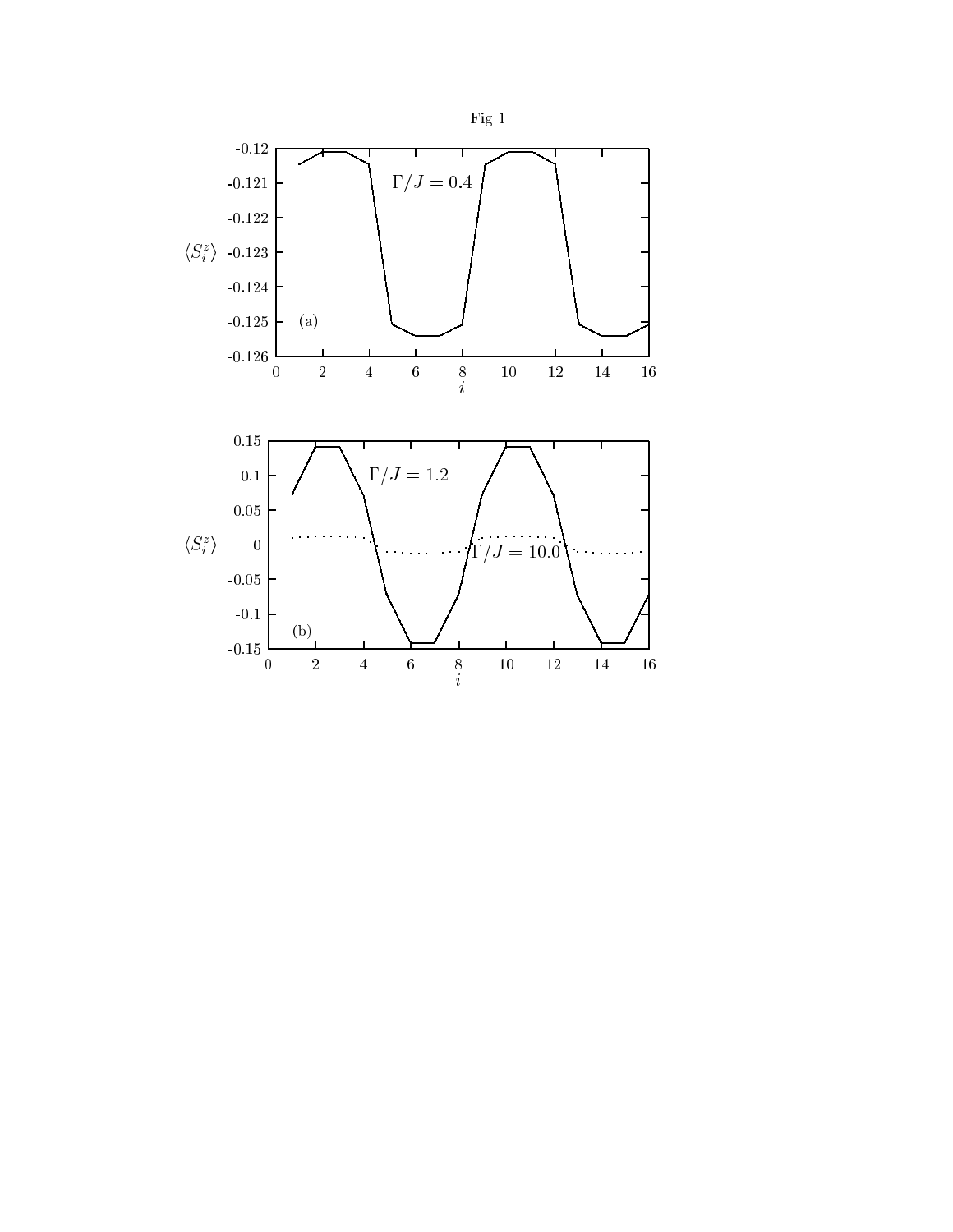

Fig $1$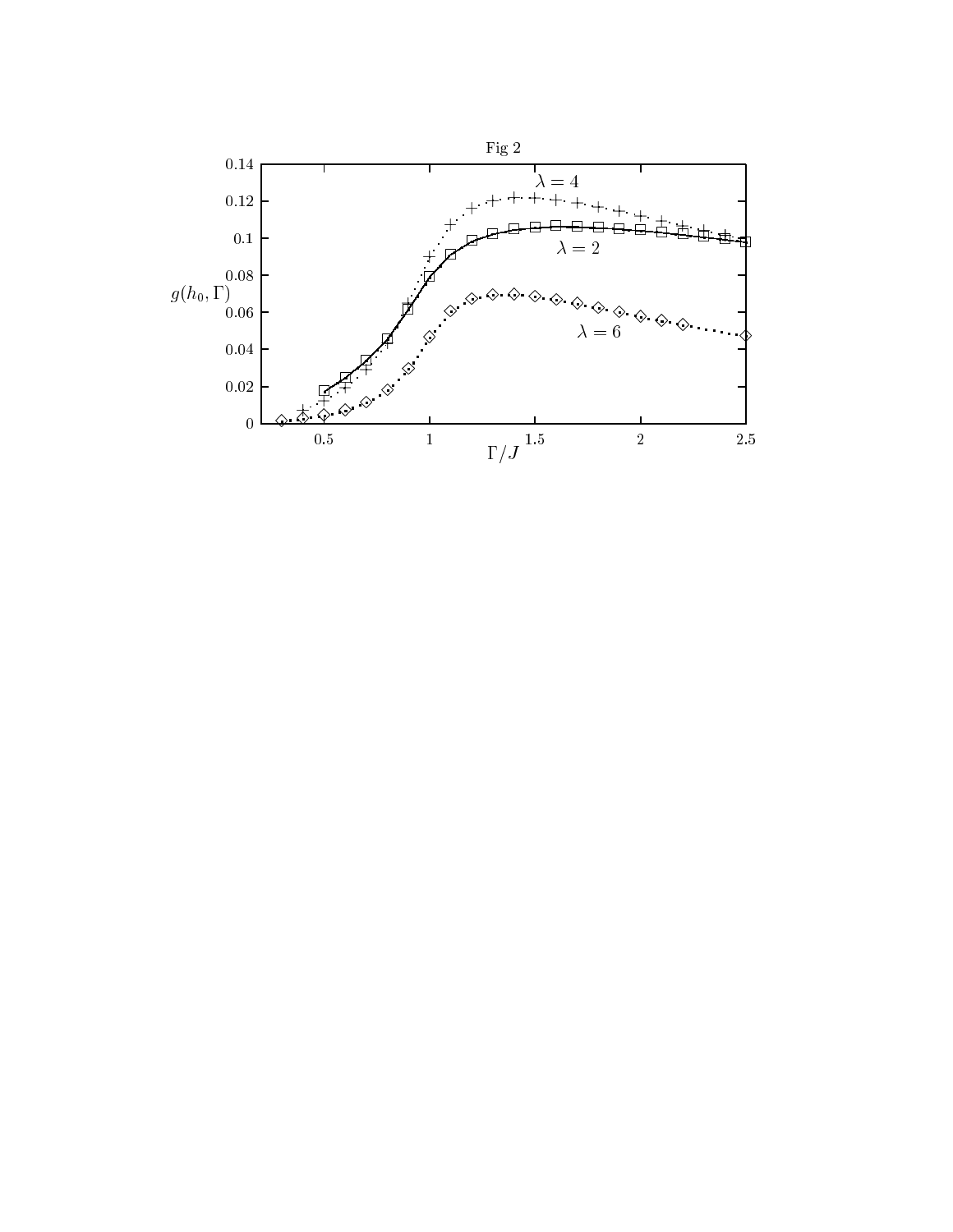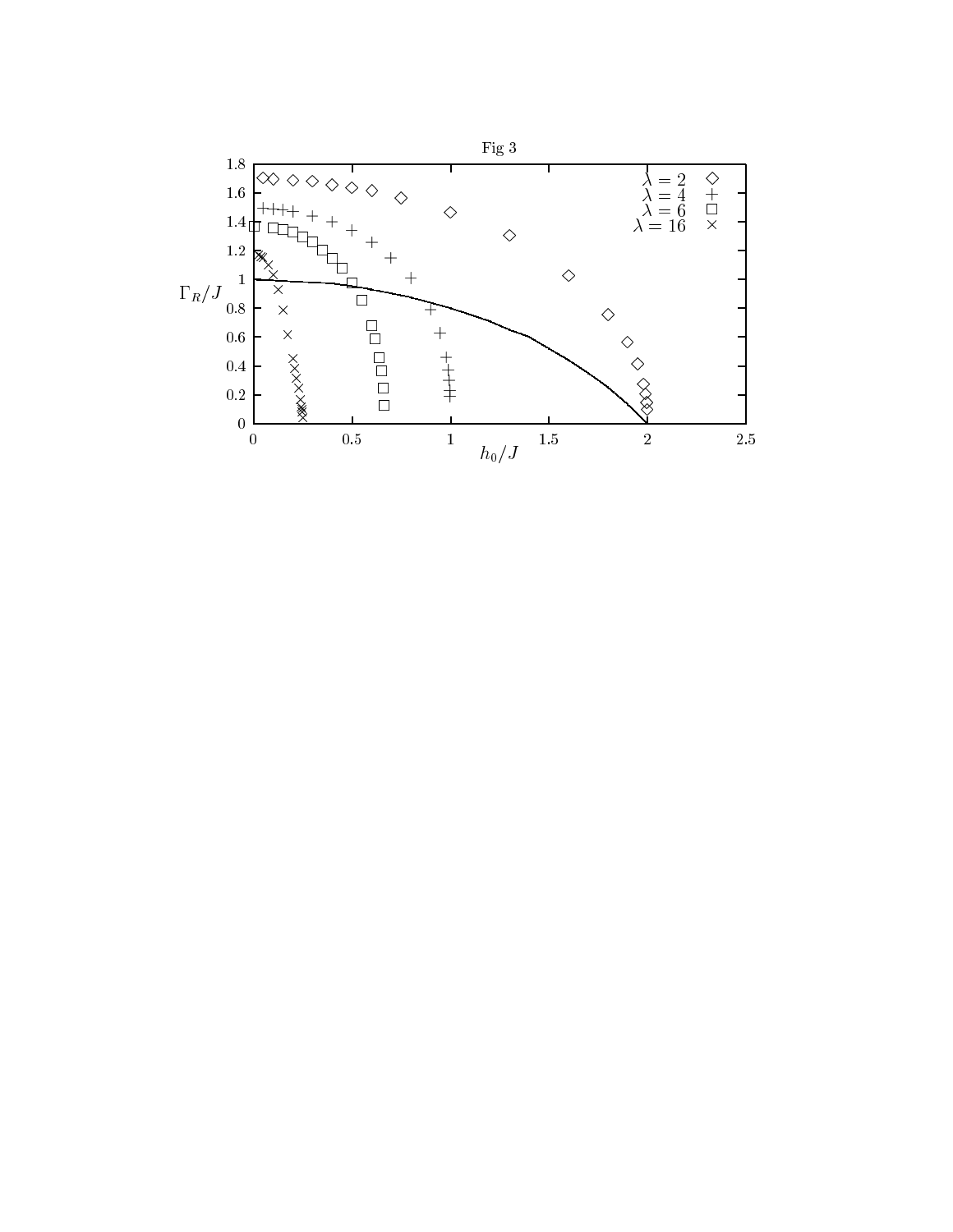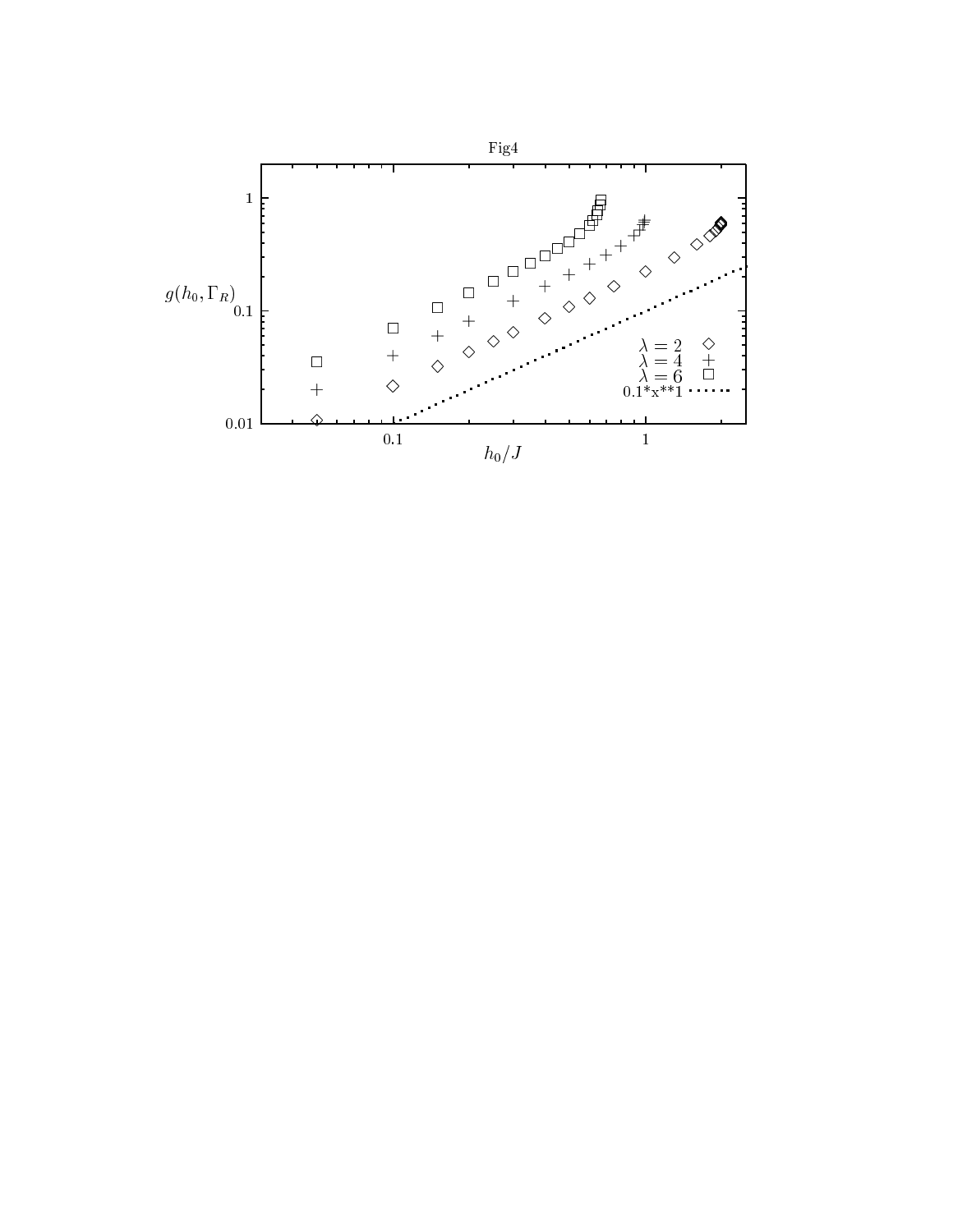